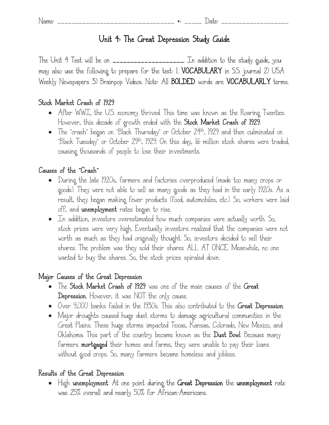# **Unit 4: The Great Depression Study Guide**

The Unit 4 Test will be on **\_\_\_\_\_\_\_\_\_\_\_\_\_\_\_\_\_\_\_\_.** In addition to the study guide, you may also use the following to prepare for the test: 1. **VOCABULARY** in S.S. journal 2) USA Weekly Newspapers 3) Brainpop Videos. Note: All **BOLDED** words are **VOCABULARLY** terms.

### **Stock Market Crash of 1929**

- After WWI, the U.S. economy thrived. This time was known as the Roaring Twenties. However, this decade of growth ended with the **Stock Market Crash of 1929**.
- The "crash" began on "Black Thursday" or October 24th, 1929 and then culminated on "Black Tuesday" or October 29th, 1929. On this day, 16 million stock shares were traded, causing thousands of people to lose their investments.

### **Causes of the "Crash"**

- During the late 1920s, farmers and factories overproduced (made too many crops or goods). They were not able to sell as many goods as they had in the early 1920s. As a result, they began making fewer products (food, automobiles, etc.). So, workers were laid off, and **unemployment** rates began to rise.
- In addition, investors overestimated how much companies were actually worth. So, stock prices were very high. Eventually investors realized that the companies were not worth as much as they had originally thought. So, investors decided to sell their shares. The problem was they sold their shares ALL AT ONCE. Meanwhile, no one wanted to buy the shares. So, the stock prices spiraled down.

### **Major Causes of the Great Depression**

- The **Stock Market Crash of 1929** was one of the main causes of the **Great Depression.** However, it was NOT the only cause.
- Over 9,000 banks failed in the 1930s. This also contributed to the **Great Depression**.
- Major droughts caused huge dust storms to damage agricultural communities in the Great Plains. These huge storms impacted Texas, Kansas, Colorado, New Mexico, and Oklahoma. This part of the country became known as the **Dust Bowl**. Because many farmers **mortgaged** their homes and farms, they were unable to pay their loans without good crops. So, many farmers became homeless and jobless.

### **Results of the Great Depression**

 High **unemployment**. At one point during the **Great Depression** the **unemployment** rate was 25% overall and nearly 50% for African-Americans.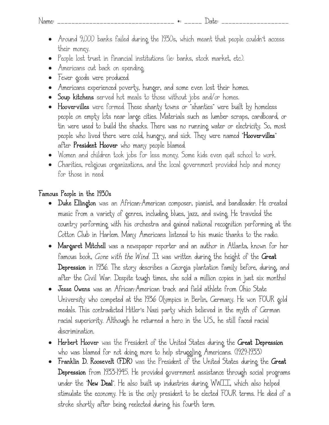- Around 9,000 banks failed during the 1930s, which meant that people couldn't access their money.
- People lost trust in financial institutions (ie: banks, stock market, etc.).
- Americans cut back on spending.
- Fewer goods were produced.
- Americans experienced poverty, hunger, and some even lost their homes.
- **Soup kitchens** served hot meals to those without jobs and/or homes.
- **Hoovervilles** were formed. These shanty towns or "shanties" were built by homeless people on empty lots near large cities. Materials such as lumber scraps, cardboard, or tin were used to build the shacks. There was no running water or electricity. So, most people who lived there were cold, hungry, and sick. They were named "**Hoovervilles**" after **President Hoover** who many people blamed.
- Women and children took jobs for less money. Some kids even quit school to work.
- Charities, religious organizations, and the local government provided help and money for those in need.

### **Famous People in the 1930s**

- **Duke Ellington** was an African-American composer, pianist, and bandleader. He created music from a variety of genres, including blues, jazz, and swing. He traveled the country performing with his orchestra and gained national recognition performing at the Cotton Club in Harlem. Many Americans listened to his music thanks to the radio.
- **Margaret Mitchell** was a newspaper reporter and an author in Atlanta, known for her famous book, *Gone with the Wind*. It was written during the height of the **Great Depression** in 1936. The story describes a Georgia plantation family before, during, and after the Civil War. Despite tough times, she sold a million copies in just six months!
- **Jesse Owens** was an African-American track and field athlete from Ohio State University who competed at the 1936 Olympics in Berlin, Germany. He won FOUR gold medals. This contradicted Hitler's Nazi party which believed in the myth of German racial superiority. Although he returned a hero in the U.S., he still faced racial discrimination.
- **Herbert Hoover** was the President of the United States during the **Great Depression** who was blamed for not doing more to help struggling Americans. (1929-1933)
- **Franklin D. Roosevelt (FDR)** was the President of the United States during the **Great Depression** from 1933-1945. He provided government assistance through social programs under the "**New Deal**". He also built up industries during WWII, which also helped stimulate the economy. He is the only president to be elected FOUR terms. He died of a stroke shortly after being reelected during his fourth term.